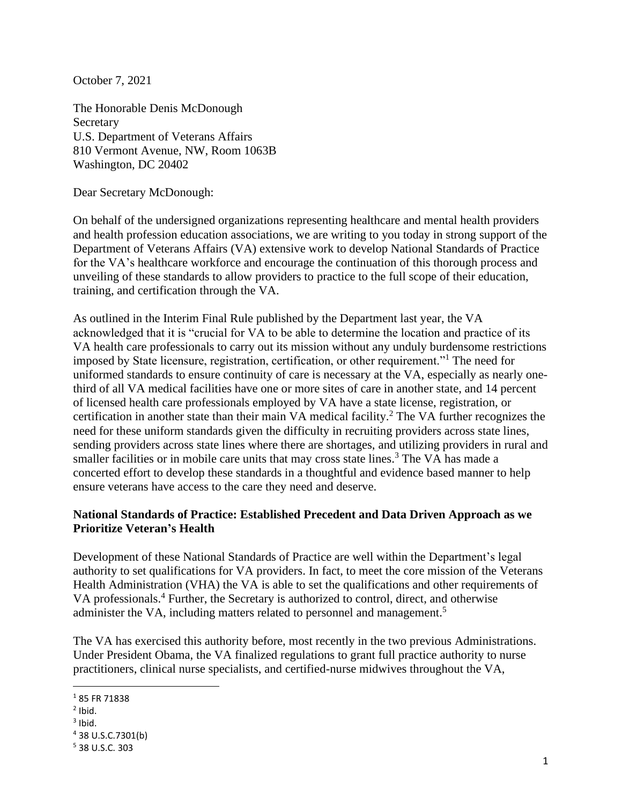October 7, 2021

The Honorable Denis McDonough Secretary U.S. Department of Veterans Affairs 810 Vermont Avenue, NW, Room 1063B Washington, DC 20402

Dear Secretary McDonough:

On behalf of the undersigned organizations representing healthcare and mental health providers and health profession education associations, we are writing to you today in strong support of the Department of Veterans Affairs (VA) extensive work to develop National Standards of Practice for the VA's healthcare workforce and encourage the continuation of this thorough process and unveiling of these standards to allow providers to practice to the full scope of their education, training, and certification through the VA.

As outlined in the Interim Final Rule published by the Department last year, the VA acknowledged that it is "crucial for VA to be able to determine the location and practice of its VA health care professionals to carry out its mission without any unduly burdensome restrictions imposed by State licensure, registration, certification, or other requirement."<sup>1</sup> The need for uniformed standards to ensure continuity of care is necessary at the VA, especially as nearly onethird of all VA medical facilities have one or more sites of care in another state, and 14 percent of licensed health care professionals employed by VA have a state license, registration, or certification in another state than their main VA medical facility.<sup>2</sup> The VA further recognizes the need for these uniform standards given the difficulty in recruiting providers across state lines, sending providers across state lines where there are shortages, and utilizing providers in rural and smaller facilities or in mobile care units that may cross state lines.<sup>3</sup> The VA has made a concerted effort to develop these standards in a thoughtful and evidence based manner to help ensure veterans have access to the care they need and deserve.

## **National Standards of Practice: Established Precedent and Data Driven Approach as we Prioritize Veteran's Health**

Development of these National Standards of Practice are well within the Department's legal authority to set qualifications for VA providers. In fact, to meet the core mission of the Veterans Health Administration (VHA) the VA is able to set the qualifications and other requirements of VA professionals. <sup>4</sup> Further, the Secretary is authorized to control, direct, and otherwise administer the VA, including matters related to personnel and management.<sup>5</sup>

The VA has exercised this authority before, most recently in the two previous Administrations. Under President Obama, the VA finalized regulations to grant full practice authority to nurse practitioners, clinical nurse specialists, and certified-nurse midwives throughout the VA,

<sup>1</sup> 85 FR 71838

 $<sup>2</sup>$  Ibid.</sup>

 $3$  Ibid.

<sup>4</sup> 38 U.S.C.7301(b)

<sup>5</sup> 38 U.S.C. 303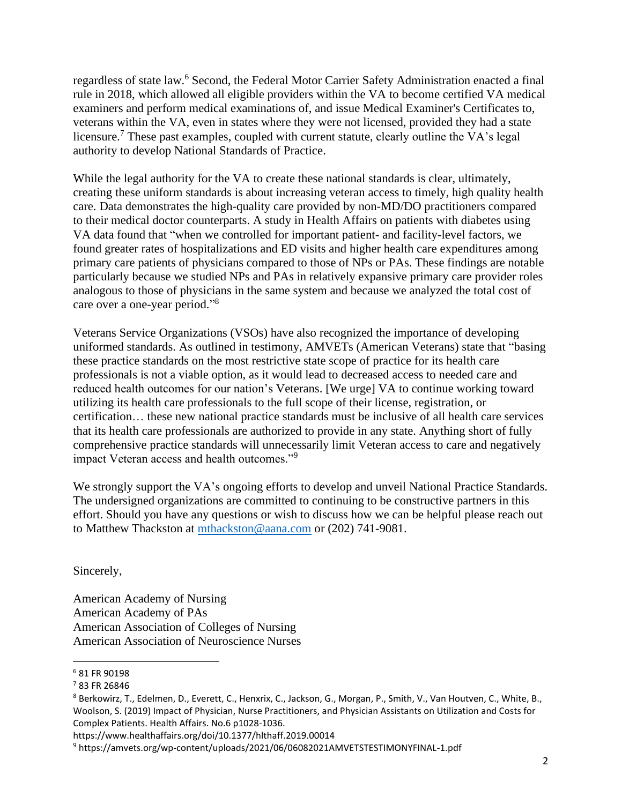regardless of state law. <sup>6</sup> Second, the Federal Motor Carrier Safety Administration enacted a final rule in 2018, which allowed all eligible providers within the VA to become certified VA medical examiners and perform medical examinations of, and issue Medical Examiner's Certificates to, veterans within the VA, even in states where they were not licensed, provided they had a state licensure.<sup>7</sup> These past examples, coupled with current statute, clearly outline the VA's legal authority to develop National Standards of Practice.

While the legal authority for the VA to create these national standards is clear, ultimately, creating these uniform standards is about increasing veteran access to timely, high quality health care. Data demonstrates the high-quality care provided by non-MD/DO practitioners compared to their medical doctor counterparts. A study in Health Affairs on patients with diabetes using VA data found that "when we controlled for important patient- and facility-level factors, we found greater rates of hospitalizations and ED visits and higher health care expenditures among primary care patients of physicians compared to those of NPs or PAs. These findings are notable particularly because we studied NPs and PAs in relatively expansive primary care provider roles analogous to those of physicians in the same system and because we analyzed the total cost of care over a one-year period."<sup>8</sup>

Veterans Service Organizations (VSOs) have also recognized the importance of developing uniformed standards. As outlined in testimony, AMVETs (American Veterans) state that "basing these practice standards on the most restrictive state scope of practice for its health care professionals is not a viable option, as it would lead to decreased access to needed care and reduced health outcomes for our nation's Veterans. [We urge] VA to continue working toward utilizing its health care professionals to the full scope of their license, registration, or certification… these new national practice standards must be inclusive of all health care services that its health care professionals are authorized to provide in any state. Anything short of fully comprehensive practice standards will unnecessarily limit Veteran access to care and negatively impact Veteran access and health outcomes."<sup>9</sup>

We strongly support the VA's ongoing efforts to develop and unveil National Practice Standards. The undersigned organizations are committed to continuing to be constructive partners in this effort. Should you have any questions or wish to discuss how we can be helpful please reach out to Matthew Thackston at [mthackston@aana.com](mailto:mthackston@aana.com) or (202) 741-9081.

Sincerely,

American Academy of Nursing American Academy of PAs American Association of Colleges of Nursing American Association of Neuroscience Nurses

<sup>6</sup> 81 FR 90198

<sup>7</sup> 83 FR 26846

<sup>8</sup> Berkowirz, T., Edelmen, D., Everett, C., Henxrix, C., Jackson, G., Morgan, P., Smith, V., Van Houtven, C., White, B., Woolson, S. (2019) Impact of Physician, Nurse Practitioners, and Physician Assistants on Utilization and Costs for Complex Patients. Health Affairs. No.6 p1028-1036.

https://www.healthaffairs.org/doi/10.1377/hlthaff.2019.00014

<sup>9</sup> https://amvets.org/wp-content/uploads/2021/06/06082021AMVETSTESTIMONYFINAL-1.pdf